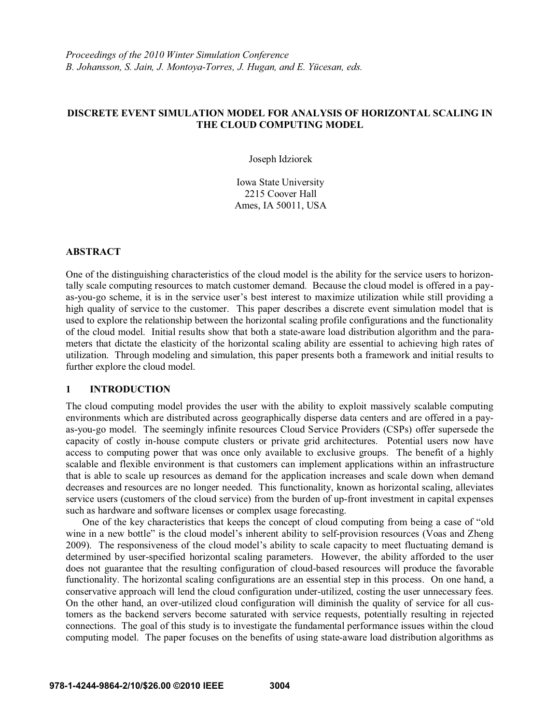# **DISCRETE EVENT SIMULATION MODEL FOR ANALYSIS OF HORIZONTAL SCALING IN THE CLOUD COMPUTING MODEL**

Joseph Idziorek

Iowa State University 2215 Coover Hall Ames, IA 50011, USA

# **ABSTRACT**

One of the distinguishing characteristics of the cloud model is the ability for the service users to horizontally scale computing resources to match customer demand. Because the cloud model is offered in a payas-you-go scheme, it is in the service user's best interest to maximize utilization while still providing a high quality of service to the customer. This paper describes a discrete event simulation model that is used to explore the relationship between the horizontal scaling profile configurations and the functionality of the cloud model. Initial results show that both a state-aware load distribution algorithm and the parameters that dictate the elasticity of the horizontal scaling ability are essential to achieving high rates of utilization. Through modeling and simulation, this paper presents both a framework and initial results to further explore the cloud model.

# **1 INTRODUCTION**

The cloud computing model provides the user with the ability to exploit massively scalable computing environments which are distributed across geographically disperse data centers and are offered in a payas-you-go model. The seemingly infinite resources Cloud Service Providers (CSPs) offer supersede the capacity of costly in-house compute clusters or private grid architectures. Potential users now have access to computing power that was once only available to exclusive groups. The benefit of a highly scalable and flexible environment is that customers can implement applications within an infrastructure that is able to scale up resources as demand for the application increases and scale down when demand decreases and resources are no longer needed. This functionality, known as horizontal scaling, alleviates service users (customers of the cloud service) from the burden of up-front investment in capital expenses such as hardware and software licenses or complex usage forecasting.

One of the key characteristics that keeps the concept of cloud computing from being a case of "old wine in a new bottle" is the cloud model's inherent ability to self-provision resources (Voas and Zheng) 2009). The responsiveness of the cloud model's ability to scale capacity to meet fluctuating demand is determined by user-specified horizontal scaling parameters. However, the ability afforded to the user does not guarantee that the resulting configuration of cloud-based resources will produce the favorable functionality. The horizontal scaling configurations are an essential step in this process. On one hand, a conservative approach will lend the cloud configuration under-utilized, costing the user unnecessary fees. On the other hand, an over-utilized cloud configuration will diminish the quality of service for all customers as the backend servers become saturated with service requests, potentially resulting in rejected connections. The goal of this study is to investigate the fundamental performance issues within the cloud computing model. The paper focuses on the benefits of using state-aware load distribution algorithms as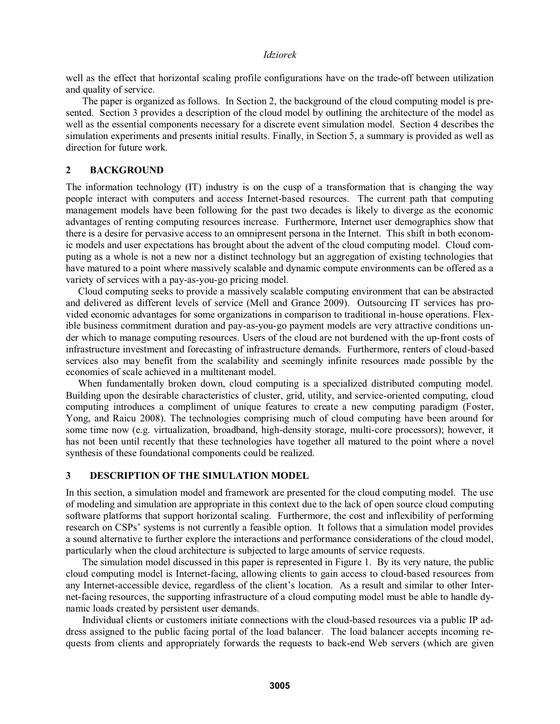well as the effect that horizontal scaling profile configurations have on the trade-off between utilization and quality of service.

 The paper is organized as follows. In Section 2, the background of the cloud computing model is presented. Section 3 provides a description of the cloud model by outlining the architecture of the model as well as the essential components necessary for a discrete event simulation model. Section 4 describes the simulation experiments and presents initial results. Finally, in Section 5, a summary is provided as well as direction for future work.

## **2 BACKGROUND**

The information technology (IT) industry is on the cusp of a transformation that is changing the way people interact with computers and access Internet-based resources. The current path that computing management models have been following for the past two decades is likely to diverge as the economic advantages of renting computing resources increase. Furthermore, Internet user demographics show that there is a desire for pervasive access to an omnipresent persona in the Internet. This shift in both economic models and user expectations has brought about the advent of the cloud computing model. Cloud computing as a whole is not a new nor a distinct technology but an aggregation of existing technologies that have matured to a point where massively scalable and dynamic compute environments can be offered as a variety of services with a pay-as-you-go pricing model.

Cloud computing seeks to provide a massively scalable computing environment that can be abstracted and delivered as different levels of service (Mell and Grance 2009). Outsourcing IT services has provided economic advantages for some organizations in comparison to traditional in-house operations. Flexible business commitment duration and pay-as-you-go payment models are very attractive conditions under which to manage computing resources. Users of the cloud are not burdened with the up-front costs of infrastructure investment and forecasting of infrastructure demands. Furthermore, renters of cloud-based services also may benefit from the scalability and seemingly infinite resources made possible by the economies of scale achieved in a multitenant model.

When fundamentally broken down, cloud computing is a specialized distributed computing model. Building upon the desirable characteristics of cluster, grid, utility, and service-oriented computing, cloud computing introduces a compliment of unique features to create a new computing paradigm (Foster, Yong, and Raicu 2008). The technologies comprising much of cloud computing have been around for some time now (e.g. virtualization, broadband, high-density storage, multi-core processors); however, it has not been until recently that these technologies have together all matured to the point where a novel synthesis of these foundational components could be realized.

## **3 DESCRIPTION OF THE SIMULATION MODEL**

In this section, a simulation model and framework are presented for the cloud computing model. The use of modeling and simulation are appropriate in this context due to the lack of open source cloud computing software platforms that support horizontal scaling. Furthermore, the cost and inflexibility of performing research on CSPs' systems is not currently a feasible option. It follows that a simulation model provides a sound alternative to further explore the interactions and performance considerations of the cloud model, particularly when the cloud architecture is subjected to large amounts of service requests.

 The simulation model discussed in this paper is represented in Figure 1. By its very nature, the public cloud computing model is Internet-facing, allowing clients to gain access to cloud-based resources from any Internet-accessible device, regardless of the client's location. As a result and similar to other Internet-facing resources, the supporting infrastructure of a cloud computing model must be able to handle dynamic loads created by persistent user demands.

 Individual clients or customers initiate connections with the cloud-based resources via a public IP address assigned to the public facing portal of the load balancer. The load balancer accepts incoming requests from clients and appropriately forwards the requests to back-end Web servers (which are given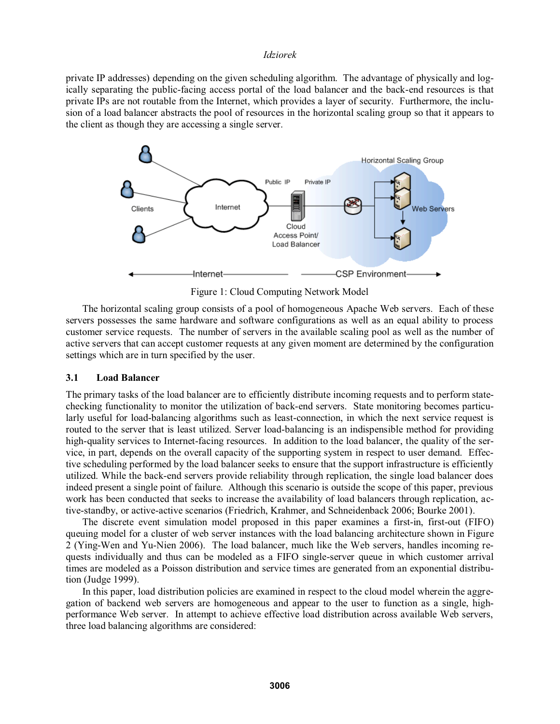private IP addresses) depending on the given scheduling algorithm. The advantage of physically and logically separating the public-facing access portal of the load balancer and the back-end resources is that private IPs are not routable from the Internet, which provides a layer of security. Furthermore, the inclusion of a load balancer abstracts the pool of resources in the horizontal scaling group so that it appears to the client as though they are accessing a single server.



Figure 1: Cloud Computing Network Model

 The horizontal scaling group consists of a pool of homogeneous Apache Web servers. Each of these servers possesses the same hardware and software configurations as well as an equal ability to process customer service requests. The number of servers in the available scaling pool as well as the number of active servers that can accept customer requests at any given moment are determined by the configuration settings which are in turn specified by the user.

## **3.1 Load Balancer**

The primary tasks of the load balancer are to efficiently distribute incoming requests and to perform statechecking functionality to monitor the utilization of back-end servers. State monitoring becomes particularly useful for load-balancing algorithms such as least-connection, in which the next service request is routed to the server that is least utilized. Server load-balancing is an indispensible method for providing high-quality services to Internet-facing resources. In addition to the load balancer, the quality of the service, in part, depends on the overall capacity of the supporting system in respect to user demand. Effective scheduling performed by the load balancer seeks to ensure that the support infrastructure is efficiently utilized. While the back-end servers provide reliability through replication, the single load balancer does indeed present a single point of failure. Although this scenario is outside the scope of this paper, previous work has been conducted that seeks to increase the availability of load balancers through replication, active-standby, or active-active scenarios (Friedrich, Krahmer, and Schneidenback 2006; Bourke 2001).

 The discrete event simulation model proposed in this paper examines a first-in, first-out (FIFO) queuing model for a cluster of web server instances with the load balancing architecture shown in Figure 2 (Ying-Wen and Yu-Nien 2006). The load balancer, much like the Web servers, handles incoming requests individually and thus can be modeled as a FIFO single-server queue in which customer arrival times are modeled as a Poisson distribution and service times are generated from an exponential distribution (Judge 1999).

 In this paper, load distribution policies are examined in respect to the cloud model wherein the aggregation of backend web servers are homogeneous and appear to the user to function as a single, highperformance Web server. In attempt to achieve effective load distribution across available Web servers, three load balancing algorithms are considered: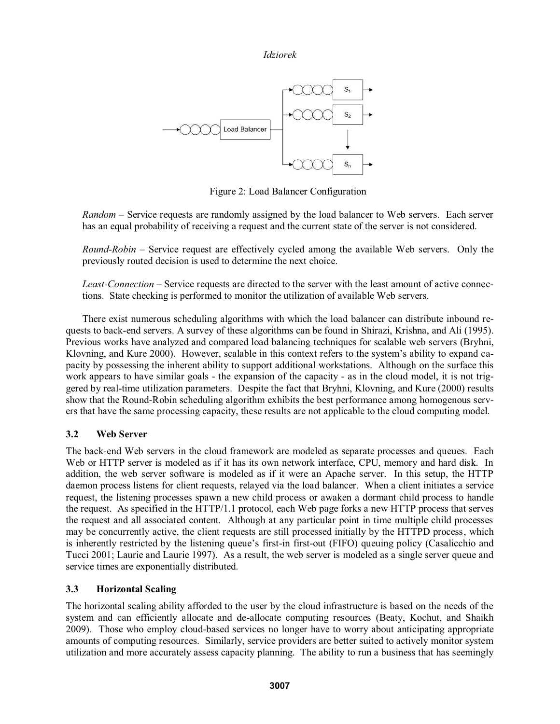

Figure 2: Load Balancer Configuration

*Random* – Service requests are randomly assigned by the load balancer to Web servers. Each server has an equal probability of receiving a request and the current state of the server is not considered.

*Round-Robin* – Service request are effectively cycled among the available Web servers. Only the previously routed decision is used to determine the next choice.

*Least-Connection* – Service requests are directed to the server with the least amount of active connections. State checking is performed to monitor the utilization of available Web servers.

 There exist numerous scheduling algorithms with which the load balancer can distribute inbound requests to back-end servers. A survey of these algorithms can be found in Shirazi, Krishna, and Ali (1995). Previous works have analyzed and compared load balancing techniques for scalable web servers (Bryhni, Klovning, and Kure 2000). However, scalable in this context refers to the system's ability to expand capacity by possessing the inherent ability to support additional workstations. Although on the surface this work appears to have similar goals - the expansion of the capacity - as in the cloud model, it is not triggered by real-time utilization parameters. Despite the fact that Bryhni, Klovning, and Kure (2000) results show that the Round-Robin scheduling algorithm exhibits the best performance among homogenous servers that have the same processing capacity, these results are not applicable to the cloud computing model.

# **3.2 Web Server**

The back-end Web servers in the cloud framework are modeled as separate processes and queues. Each Web or HTTP server is modeled as if it has its own network interface, CPU, memory and hard disk. In addition, the web server software is modeled as if it were an Apache server. In this setup, the HTTP daemon process listens for client requests, relayed via the load balancer. When a client initiates a service request, the listening processes spawn a new child process or awaken a dormant child process to handle the request. As specified in the HTTP/1.1 protocol, each Web page forks a new HTTP process that serves the request and all associated content. Although at any particular point in time multiple child processes may be concurrently active, the client requests are still processed initially by the HTTPD process, which is inherently restricted by the listening queue's first-in first-out (FIFO) queuing policy (Casalicchio and Tucci 2001; Laurie and Laurie 1997). As a result, the web server is modeled as a single server queue and service times are exponentially distributed.

# **3.3 Horizontal Scaling**

The horizontal scaling ability afforded to the user by the cloud infrastructure is based on the needs of the system and can efficiently allocate and de-allocate computing resources (Beaty, Kochut, and Shaikh 2009). Those who employ cloud-based services no longer have to worry about anticipating appropriate amounts of computing resources. Similarly, service providers are better suited to actively monitor system utilization and more accurately assess capacity planning. The ability to run a business that has seemingly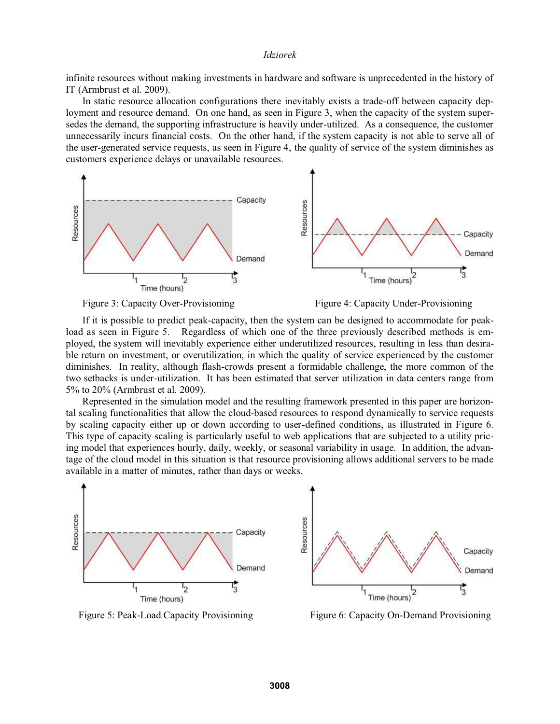infinite resources without making investments in hardware and software is unprecedented in the history of IT (Armbrust et al. 2009).

 In static resource allocation configurations there inevitably exists a trade-off between capacity deployment and resource demand. On one hand, as seen in Figure 3, when the capacity of the system supersedes the demand, the supporting infrastructure is heavily under-utilized. As a consequence, the customer unnecessarily incurs financial costs. On the other hand, if the system capacity is not able to serve all of the user-generated service requests, as seen in Figure 4, the quality of service of the system diminishes as customers experience delays or unavailable resources.





 If it is possible to predict peak-capacity, then the system can be designed to accommodate for peakload as seen in Figure 5. Regardless of which one of the three previously described methods is employed, the system will inevitably experience either underutilized resources, resulting in less than desirable return on investment, or overutilization, in which the quality of service experienced by the customer diminishes. In reality, although flash-crowds present a formidable challenge, the more common of the two setbacks is under-utilization. It has been estimated that server utilization in data centers range from 5% to 20% (Armbrust et al. 2009).

 Represented in the simulation model and the resulting framework presented in this paper are horizontal scaling functionalities that allow the cloud-based resources to respond dynamically to service requests by scaling capacity either up or down according to user-defined conditions, as illustrated in Figure 6. This type of capacity scaling is particularly useful to web applications that are subjected to a utility pricing model that experiences hourly, daily, weekly, or seasonal variability in usage. In addition, the advantage of the cloud model in this situation is that resource provisioning allows additional servers to be made available in a matter of minutes, rather than days or weeks.



Figure 5: Peak-Load Capacity Provisioning Figure 6: Capacity On-Demand Provisioning

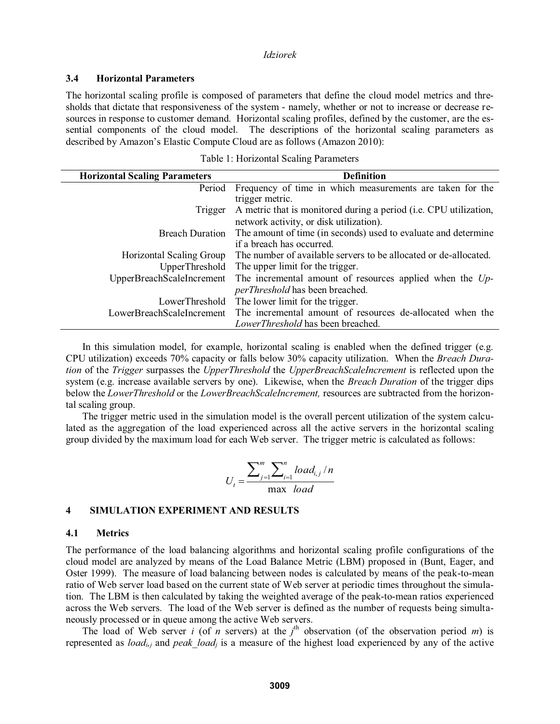#### **3.4 Horizontal Parameters**

The horizontal scaling profile is composed of parameters that define the cloud model metrics and thresholds that dictate that responsiveness of the system - namely, whether or not to increase or decrease resources in response to customer demand. Horizontal scaling profiles, defined by the customer, are the essential components of the cloud model. The descriptions of the horizontal scaling parameters as described by Amazon's Elastic Compute Cloud are as follows (Amazon 2010):

| <b>Horizontal Scaling Parameters</b> | <b>Definition</b>                                                         |
|--------------------------------------|---------------------------------------------------------------------------|
| Period                               | Frequency of time in which measurements are taken for the                 |
|                                      | trigger metric.                                                           |
|                                      | Trigger A metric that is monitored during a period (i.e. CPU utilization, |
|                                      | network activity, or disk utilization).                                   |
| <b>Breach Duration</b>               | The amount of time (in seconds) used to evaluate and determine            |
|                                      | if a breach has occurred.                                                 |
| Horizontal Scaling Group             | The number of available servers to be allocated or de-allocated.          |
| <b>UpperThreshold</b>                | The upper limit for the trigger.                                          |
| UpperBreachScaleIncrement            | The incremental amount of resources applied when the $Up-$                |
|                                      | perThreshold has been breached.                                           |
| LowerThreshold                       | The lower limit for the trigger.                                          |
| LowerBreachScaleIncrement            | The incremental amount of resources de-allocated when the                 |
|                                      | <i>LowerThreshold</i> has been breached.                                  |

Table 1: Horizontal Scaling Parameters

In this simulation model, for example, horizontal scaling is enabled when the defined trigger (e.g. CPU utilization) exceeds 70% capacity or falls below 30% capacity utilization. When the *Breach Duration* of the *Trigger* surpasses the *UpperThreshold* the *UpperBreachScaleIncrement* is reflected upon the system (e.g. increase available servers by one). Likewise, when the *Breach Duration* of the trigger dips below the *LowerThreshold* or the *LowerBreachScaleIncrement,* resources are subtracted from the horizontal scaling group.

The trigger metric used in the simulation model is the overall percent utilization of the system calculated as the aggregation of the load experienced across all the active servers in the horizontal scaling group divided by the maximum load for each Web server. The trigger metric is calculated as follows:

$$
U_t = \frac{\sum_{j=1}^{m} \sum_{i=1}^{n} load_{i,j} / n}{\max load}
$$

## **4 SIMULATION EXPERIMENT AND RESULTS**

#### **4.1 Metrics**

The performance of the load balancing algorithms and horizontal scaling profile configurations of the cloud model are analyzed by means of the Load Balance Metric (LBM) proposed in (Bunt, Eager, and Oster 1999). The measure of load balancing between nodes is calculated by means of the peak-to-mean ratio of Web server load based on the current state of Web server at periodic times throughout the simulation. The LBM is then calculated by taking the weighted average of the peak-to-mean ratios experienced across the Web servers. The load of the Web server is defined as the number of requests being simultaneously processed or in queue among the active Web servers.

The load of Web server *i* (of *n* servers) at the  $j<sup>th</sup>$  observation (of the observation period *m*) is represented as *loadi,j* and *peak\_loadj* is a measure of the highest load experienced by any of the active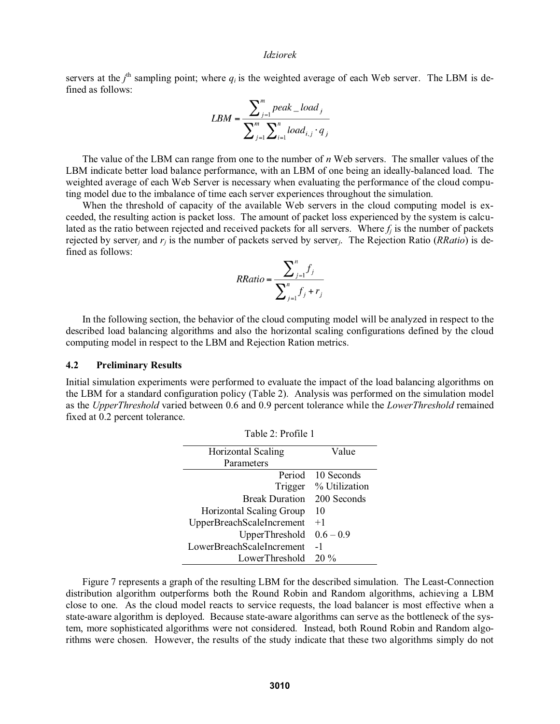servers at the  $j<sup>th</sup>$  sampling point; where  $q<sub>i</sub>$  is the weighted average of each Web server. The LBM is defined as follows:

$$
LBM = \frac{\sum_{j=1}^{m} peak\_load_j}{\sum_{j=1}^{m} \sum_{i=1}^{n} load_{i,j} \cdot q_j}
$$

 The value of the LBM can range from one to the number of *n* Web servers. The smaller values of the LBM indicate better load balance performance, with an LBM of one being an ideally-balanced load. The weighted average of each Web Server is necessary when evaluating the performance of the cloud computing model due to the imbalance of time each server experiences throughout the simulation.

 When the threshold of capacity of the available Web servers in the cloud computing model is exceeded, the resulting action is packet loss. The amount of packet loss experienced by the system is calculated as the ratio between rejected and received packets for all servers. Where *fj* is the number of packets rejected by server*j* and *rj* is the number of packets served by server*j*. The Rejection Ratio (*RRatio*) is defined as follows:

$$
RRatio = \frac{\sum_{j=1}^{n} f_j}{\sum_{j=1}^{n} f_j + r_j}
$$

 In the following section, the behavior of the cloud computing model will be analyzed in respect to the described load balancing algorithms and also the horizontal scaling configurations defined by the cloud computing model in respect to the LBM and Rejection Ration metrics.

#### **4.2 Preliminary Results**

Initial simulation experiments were performed to evaluate the impact of the load balancing algorithms on the LBM for a standard configuration policy (Table 2). Analysis was performed on the simulation model as the *UpperThreshold* varied between 0.6 and 0.9 percent tolerance while the *LowerThreshold* remained fixed at 0.2 percent tolerance.

Table 2: Profile 1

| Horizontal Scaling        | Value                 |  |
|---------------------------|-----------------------|--|
| Parameters                |                       |  |
| Period                    | 10 Seconds            |  |
|                           | Trigger % Utilization |  |
| <b>Break Duration</b>     | 200 Seconds           |  |
| Horizontal Scaling Group  | 10                    |  |
| UpperBreachScaleIncrement | $+1$                  |  |
| UpperThreshold            | $0.6 - 0.9$           |  |
| LowerBreachScaleIncrement | $-1$                  |  |
| LowerThreshold            | $20\%$                |  |

| Figure 7 represents a graph of the resulting LBM for the described simulation. The Least-Connection       |
|-----------------------------------------------------------------------------------------------------------|
| distribution algorithm outperforms both the Round Robin and Random algorithms, achieving a LBM            |
| close to one. As the cloud model reacts to service requests, the load balancer is most effective when a   |
| state-aware algorithm is deployed. Because state-aware algorithms can serve as the bottleneck of the sys- |
| tem, more sophisticated algorithms were not considered. Instead, both Round Robin and Random algo-        |
| rithms were chosen. However, the results of the study indicate that these two algorithms simply do not    |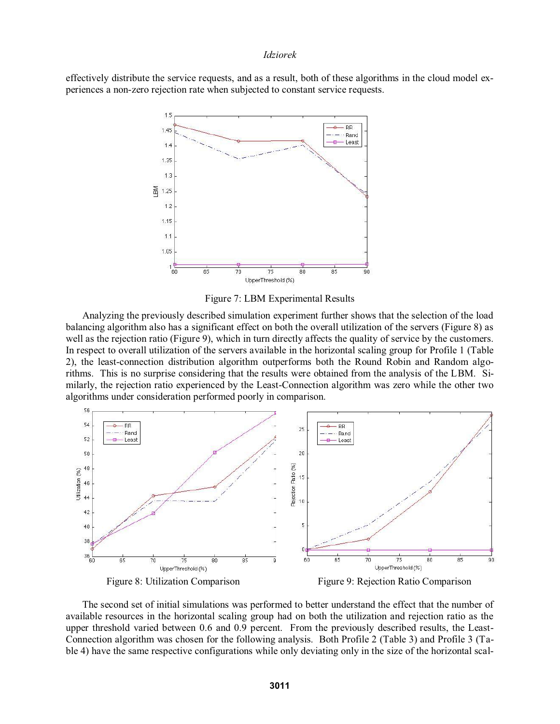effectively distribute the service requests, and as a result, both of these algorithms in the cloud model experiences a non-zero rejection rate when subjected to constant service requests.



Figure 7: LBM Experimental Results

Analyzing the previously described simulation experiment further shows that the selection of the load balancing algorithm also has a significant effect on both the overall utilization of the servers (Figure 8) as well as the rejection ratio (Figure 9), which in turn directly affects the quality of service by the customers. In respect to overall utilization of the servers available in the horizontal scaling group for Profile 1 (Table 2), the least-connection distribution algorithm outperforms both the Round Robin and Random algorithms. This is no surprise considering that the results were obtained from the analysis of the LBM. Similarly, the rejection ratio experienced by the Least-Connection algorithm was zero while the other two algorithms under consideration performed poorly in comparison.



The second set of initial simulations was performed to better understand the effect that the number of available resources in the horizontal scaling group had on both the utilization and rejection ratio as the upper threshold varied between 0.6 and 0.9 percent. From the previously described results, the Least-Connection algorithm was chosen for the following analysis. Both Profile 2 (Table 3) and Profile 3 (Table 4) have the same respective configurations while only deviating only in the size of the horizontal scal-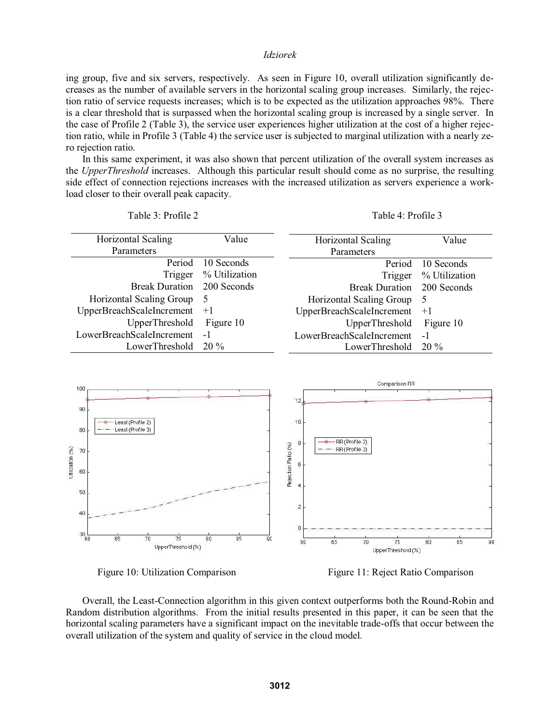ing group, five and six servers, respectively. As seen in Figure 10, overall utilization significantly decreases as the number of available servers in the horizontal scaling group increases. Similarly, the rejection ratio of service requests increases; which is to be expected as the utilization approaches 98%. There is a clear threshold that is surpassed when the horizontal scaling group is increased by a single server. In the case of Profile 2 (Table 3), the service user experiences higher utilization at the cost of a higher rejection ratio, while in Profile 3 (Table 4) the service user is subjected to marginal utilization with a nearly zero rejection ratio.

 In this same experiment, it was also shown that percent utilization of the overall system increases as the *UpperThreshold* increases. Although this particular result should come as no surprise, the resulting side effect of connection rejections increases with the increased utilization as servers experience a workload closer to their overall peak capacity.

Table 3: Profile 2 Table 4: Profile 3

| Horizontal Scaling<br>Parameters | Value         | Horizontal Scaling<br>Parameters | Value         |
|----------------------------------|---------------|----------------------------------|---------------|
|                                  |               |                                  |               |
| Period                           | 10 Seconds    | Period                           | 10 Seconds    |
| Trigger                          | % Utilization | Trigger                          | % Utilization |
| Break Duration 200 Seconds       |               | Break Duration 200 Seconds       |               |
| Horizontal Scaling Group 5       |               | Horizontal Scaling Group 5       |               |
| UpperBreachScaleIncrement +1     |               | UpperBreachScaleIncrement +1     |               |
| UpperThreshold                   | Figure 10     | UpperThreshold                   | Figure 10     |
| LowerBreachScaleIncrement        | $-1$          | LowerBreachScaleIncrement        | $-1$          |
| LowerThreshold $20\%$            |               | LowerThreshold                   | $20\%$        |





Figure 10: Utilization Comparison Figure 11: Reject Ratio Comparison

Overall, the Least-Connection algorithm in this given context outperforms both the Round-Robin and Random distribution algorithms. From the initial results presented in this paper, it can be seen that the horizontal scaling parameters have a significant impact on the inevitable trade-offs that occur between the overall utilization of the system and quality of service in the cloud model.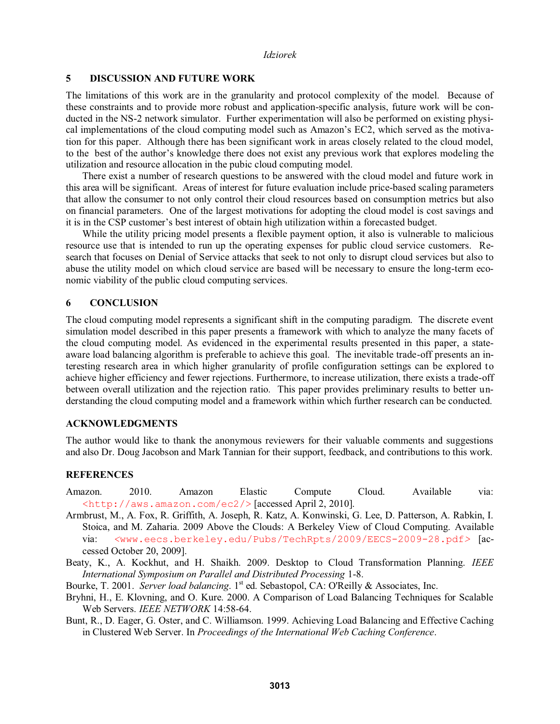## **5 DISCUSSION AND FUTURE WORK**

The limitations of this work are in the granularity and protocol complexity of the model. Because of these constraints and to provide more robust and application-specific analysis, future work will be conducted in the NS-2 network simulator. Further experimentation will also be performed on existing physi cal implementations of the cloud computing model such as Amazon's EC2, which served as the motivation for this paper. Although there has been significant work in areas closely related to the cloud model, to the best of the author's knowledge there does not exist any previous work that explores modeling the utilization and resource allocation in the pubic cloud computing model.

There exist a number of research questions to be answered with the cloud model and future work in this area will be significant. Areas of interest for future evaluation include price-based scaling parameters that allow the consumer to not only control their cloud resources based on consumption metrics but also on financial parameters. One of the largest motivations for adopting the cloud model is cost savings and it is in the CSP customer's best interest of obtain high utilization within a forecasted budget.

While the utility pricing model presents a flexible payment option, it also is vulnerable to malicious resource use that is intended to run up the operating expenses for public cloud service customers. Research that focuses on Denial of Service attacks that seek to not only to disrupt cloud services but also to abuse the utility model on which cloud service are based will be necessary to ensure the long-term economic viability of the public cloud computing services.

# **6 CONCLUSION**

The cloud computing model represents a significant shift in the computing paradigm. The discrete event simulation model described in this paper presents a framework with which to analyze the many facets of the cloud computing model. As evidenced in the experimental results presented in this paper, a stateaware load balancing algorithm is preferable to achieve this goal. The inevitable trade-off presents an interesting research area in which higher granularity of profile configuration settings can be explored to achieve higher efficiency and fewer rejections. Furthermore, to increase utilization, there exists a trade-off between overall utilization and the rejection ratio. This paper provides preliminary results to better understanding the cloud computing model and a framework within which further research can be conducted.

## **ACKNOWLEDGMENTS**

The author would like to thank the anonymous reviewers for their valuable comments and suggestions and also Dr. Doug Jacobson and Mark Tannian for their support, feedback, and contributions to this work.

# **REFERENCES**

- Amazon. 2010. Amazon Elastic Compute Cloud. Available via: <http://aws.amazon.com/ec2/> [accessed April 2, 2010].
- Armbrust, M., A. Fox, R. Griffith, A. Joseph, R. Katz, A. Konwinski, G. Lee, D. Patterson, A. Rabkin, I. Stoica, and M. Zaharia. 2009 Above the Clouds: A Berkeley View of Cloud Computing. Available via: *<*www.eecs.berkeley.edu/Pubs/TechRpts/2009/EECS-2009-28.pdf*>* [accessed October 20, 2009].
- Beaty, K., A. Kockhut, and H. Shaikh. 2009. Desktop to Cloud Transformation Planning. *IEEE International Symposium on Parallel and Distributed Processing* 1-8.
- Bourke, T. 2001. *Server load balancing*. 1<sup>st</sup> ed. Sebastopol, CA: O'Reilly & Associates, Inc.
- Bryhni, H., E. Klovning, and O. Kure. 2000. A Comparison of Load Balancing Techniques for Scalable Web Servers. *IEEE NETWORK* 14:58-64.
- Bunt, R., D. Eager, G. Oster, and C. Williamson. 1999. Achieving Load Balancing and Effective Caching in Clustered Web Server. In *Proceedings of the International Web Caching Conference*.